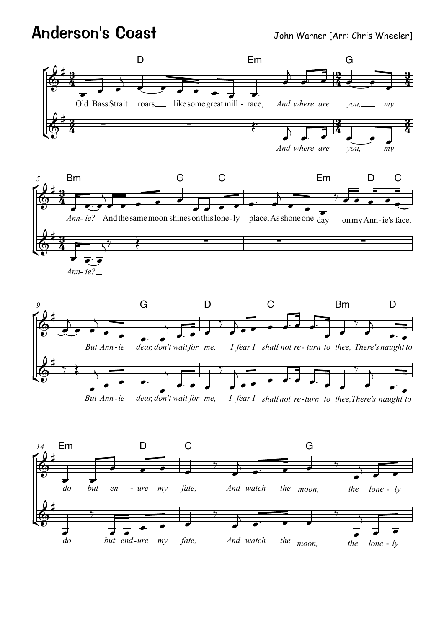## Anderson's Coast John Warner [Arr: Chris Wheeler]